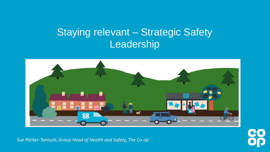# Staying relevant – Strategic Safety Leadership



*Sue Parker-Tantush, Group Head of Health and Safety, The Co-op* 

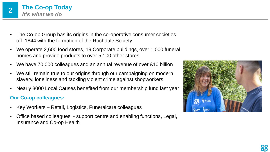

- The Co-op Group has its origins in the co-operative consumer societies off 1844 with the formation of the Rochdale Society
- We operate 2,600 food stores, 19 Corporate buildings, over 1,000 funeral homes and provide products to over 5,100 other stores
- We have 70,000 colleagues and an annual revenue of over £10 billion
- We still remain true to our origins through our campaigning on modern slavery, loneliness and tackling violent crime against shopworkers
- Nearly 3000 Local Causes benefited from our membership fund last year

#### **Our Co-op colleagues:**

- Key Workers Retail, Logistics, Funeralcare colleagues
- Office based colleagues support centre and enabling functions, Legal, Insurance and Co-op Health

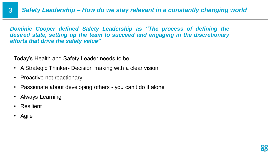*Dominic Cooper defined Safety Leadership as "The process of defining the desired state, setting up the team to succeed and engaging in the discretionary efforts that drive the safety value"*

Today's Health and Safety Leader needs to be:

- A Strategic Thinker- Decision making with a clear vision
- Proactive not reactionary
- Passionate about developing others you can't do it alone
- Always Learning
- **Resilient**
- Agile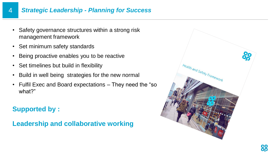### 4 *Strategic Leadership - Planning for Success*

- Safety governance structures within a strong risk management framework
- Set minimum safety standards
- Being proactive enables you to be reactive
- Set timelines but build in flexibility
- Build in well being strategies for the new normal
- Fulfil Exec and Board expectations They need the "so what?"

## **Supported by :**

**Leadership and collaborative working**

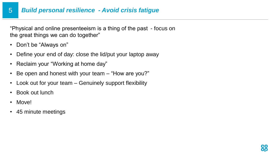#### 5 *Build personal resilience - Avoid crisis fatigue*

"Physical and online presenteeism is a thing of the past - focus on the great things we can do together"

- Don't be "Always on"
- Define your end of day: close the lid/put your laptop away
- Reclaim your "Working at home day"
- Be open and honest with your team "How are you?"
- Look out for your team Genuinely support flexibility
- Book out lunch
- Move!
- 45 minute meetings